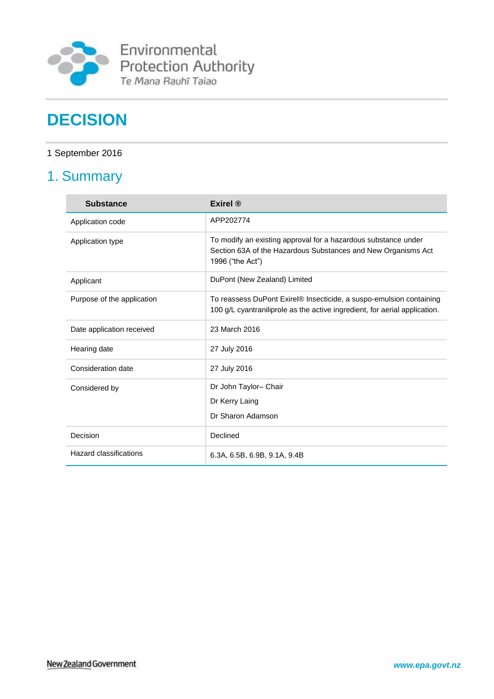

Environmental<br>Protection Authority<br>Te Mana Rauhī Taiao

# **DECISION**

# 1 September 2016

# 1. Summary

| <b>Substance</b>           | Exirel $\mathbb{R}$                                                                                                                                 |
|----------------------------|-----------------------------------------------------------------------------------------------------------------------------------------------------|
| Application code           | APP202774                                                                                                                                           |
| Application type           | To modify an existing approval for a hazardous substance under<br>Section 63A of the Hazardous Substances and New Organisms Act<br>1996 ("the Act") |
| Applicant                  | DuPont (New Zealand) Limited                                                                                                                        |
| Purpose of the application | To reassess DuPont Exirel® Insecticide, a suspo-emulsion containing<br>100 g/L cyantraniliprole as the active ingredient, for aerial application.   |
| Date application received  | 23 March 2016                                                                                                                                       |
| Hearing date               | 27 July 2016                                                                                                                                        |
| Consideration date         | 27 July 2016                                                                                                                                        |
| Considered by              | Dr John Taylor- Chair                                                                                                                               |
|                            | Dr Kerry Laing                                                                                                                                      |
|                            | Dr Sharon Adamson                                                                                                                                   |
| Decision                   | Declined                                                                                                                                            |
| Hazard classifications     | 6.3A, 6.5B, 6.9B, 9.1A, 9.4B                                                                                                                        |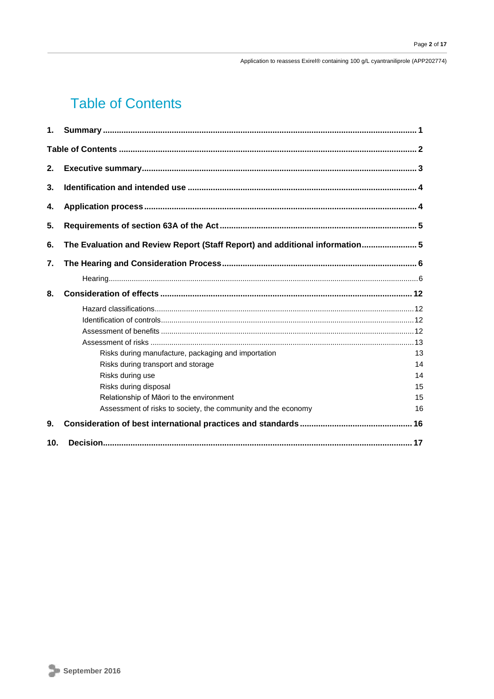Application to reassess Exirel® containing 100 g/L cyantraniliprole (APP202774)

# **Table of Contents**

| 1.              |                                                                                                               |                      |
|-----------------|---------------------------------------------------------------------------------------------------------------|----------------------|
|                 |                                                                                                               |                      |
| 2.              |                                                                                                               |                      |
| 3.              |                                                                                                               |                      |
| 4.              |                                                                                                               |                      |
| 5.              |                                                                                                               |                      |
| 6.              | The Evaluation and Review Report (Staff Report) and additional information5                                   |                      |
| 7.              |                                                                                                               |                      |
|                 |                                                                                                               |                      |
| 8.              |                                                                                                               |                      |
|                 | Risks during manufacture, packaging and importation<br>Risks during transport and storage<br>Risks during use | 13<br>14<br>14<br>15 |
|                 | Risks during disposal<br>Relationship of Māori to the environment                                             | 15                   |
|                 | Assessment of risks to society, the community and the economy                                                 | 16                   |
| 9.              |                                                                                                               |                      |
| 10 <sub>1</sub> |                                                                                                               |                      |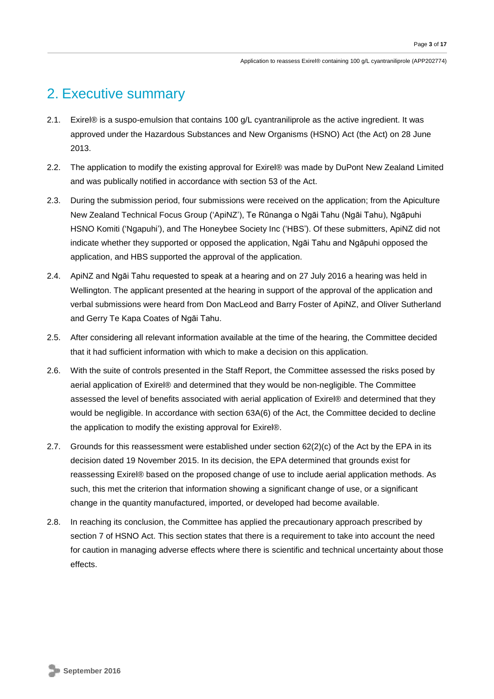# 2. Executive summary

- 2.1. Exirel® is a suspo-emulsion that contains 100 g/L cyantraniliprole as the active ingredient. It was approved under the Hazardous Substances and New Organisms (HSNO) Act (the Act) on 28 June 2013.
- 2.2. The application to modify the existing approval for Exirel® was made by DuPont New Zealand Limited and was publically notified in accordance with section 53 of the Act.
- 2.3. During the submission period, four submissions were received on the application; from the Apiculture New Zealand Technical Focus Group ('ApiNZ'), Te Rūnanga o Ngāi Tahu (Ngāi Tahu), Ngāpuhi HSNO Komiti ('Ngapuhi'), and The Honeybee Society Inc ('HBS'). Of these submitters, ApiNZ did not indicate whether they supported or opposed the application, Ngāi Tahu and Ngāpuhi opposed the application, and HBS supported the approval of the application.
- 2.4. ApiNZ and Ngāi Tahu requested to speak at a hearing and on 27 July 2016 a hearing was held in Wellington. The applicant presented at the hearing in support of the approval of the application and verbal submissions were heard from Don MacLeod and Barry Foster of ApiNZ, and Oliver Sutherland and Gerry Te Kapa Coates of Ngāi Tahu.
- 2.5. After considering all relevant information available at the time of the hearing, the Committee decided that it had sufficient information with which to make a decision on this application.
- 2.6. With the suite of controls presented in the Staff Report, the Committee assessed the risks posed by aerial application of Exirel® and determined that they would be non-negligible. The Committee assessed the level of benefits associated with aerial application of Exirel® and determined that they would be negligible. In accordance with section 63A(6) of the Act, the Committee decided to decline the application to modify the existing approval for Exirel®.
- 2.7. Grounds for this reassessment were established under section 62(2)(c) of the Act by the EPA in its decision dated 19 November 2015. In its decision, the EPA determined that grounds exist for reassessing Exirel® based on the proposed change of use to include aerial application methods. As such, this met the criterion that information showing a significant change of use, or a significant change in the quantity manufactured, imported, or developed had become available.
- 2.8. In reaching its conclusion, the Committee has applied the precautionary approach prescribed by section 7 of HSNO Act. This section states that there is a requirement to take into account the need for caution in managing adverse effects where there is scientific and technical uncertainty about those effects.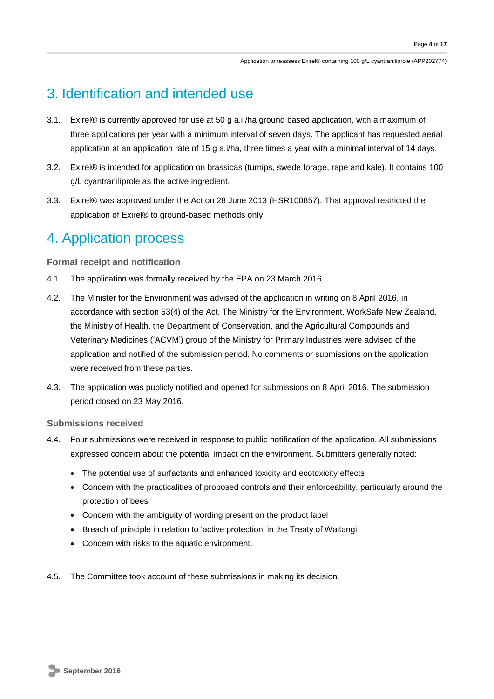# 3. Identification and intended use

- 3.1. Exirel® is currently approved for use at 50 g a.i./ha ground based application, with a maximum of three applications per year with a minimum interval of seven days. The applicant has requested aerial application at an application rate of 15 g a.i/ha, three times a year with a minimal interval of 14 days.
- 3.2. Exirel® is intended for application on brassicas (turnips, swede forage, rape and kale). It contains 100 g/L cyantraniliprole as the active ingredient.
- 3.3. Exirel® was approved under the Act on 28 June 2013 (HSR100857). That approval restricted the application of Exirel® to ground-based methods only.

# 4. Application process

**Formal receipt and notification**

- 4.1. The application was formally received by the EPA on 23 March 2016.
- 4.2. The Minister for the Environment was advised of the application in writing on 8 April 2016, in accordance with section 53(4) of the Act. The Ministry for the Environment, WorkSafe New Zealand, the Ministry of Health, the Department of Conservation, and the Agricultural Compounds and Veterinary Medicines ('ACVM') group of the Ministry for Primary Industries were advised of the application and notified of the submission period. No comments or submissions on the application were received from these parties.
- 4.3. The application was publicly notified and opened for submissions on 8 April 2016. The submission period closed on 23 May 2016.

**Submissions received**

- 4.4. Four submissions were received in response to public notification of the application. All submissions expressed concern about the potential impact on the environment. Submitters generally noted:
	- The potential use of surfactants and enhanced toxicity and ecotoxicity effects
	- Concern with the practicalities of proposed controls and their enforceability, particularly around the protection of bees
	- Concern with the ambiguity of wording present on the product label
	- Breach of principle in relation to 'active protection' in the Treaty of Waitangi
	- Concern with risks to the aquatic environment.
- 4.5. The Committee took account of these submissions in making its decision.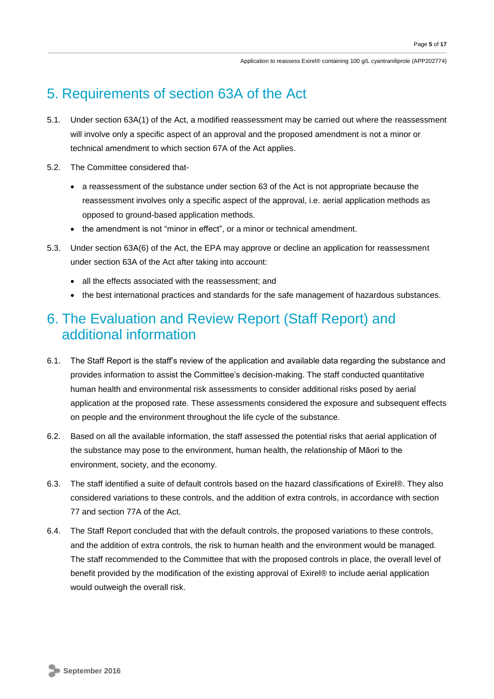# 5. Requirements of section 63A of the Act

- 5.1. Under section 63A(1) of the Act, a modified reassessment may be carried out where the reassessment will involve only a specific aspect of an approval and the proposed amendment is not a minor or technical amendment to which section 67A of the Act applies.
- 5.2. The Committee considered that-
	- a reassessment of the substance under section 63 of the Act is not appropriate because the reassessment involves only a specific aspect of the approval, i.e. aerial application methods as opposed to ground-based application methods.
	- the amendment is not "minor in effect", or a minor or technical amendment.
- 5.3. Under section 63A(6) of the Act, the EPA may approve or decline an application for reassessment under section 63A of the Act after taking into account:
	- all the effects associated with the reassessment; and
	- the best international practices and standards for the safe management of hazardous substances.

# 6. The Evaluation and Review Report (Staff Report) and additional information

- 6.1. The Staff Report is the staff's review of the application and available data regarding the substance and provides information to assist the Committee's decision-making. The staff conducted quantitative human health and environmental risk assessments to consider additional risks posed by aerial application at the proposed rate. These assessments considered the exposure and subsequent effects on people and the environment throughout the life cycle of the substance.
- 6.2. Based on all the available information, the staff assessed the potential risks that aerial application of the substance may pose to the environment, human health, the relationship of Māori to the environment, society, and the economy.
- 6.3. The staff identified a suite of default controls based on the hazard classifications of Exirel®. They also considered variations to these controls, and the addition of extra controls, in accordance with section 77 and section 77A of the Act.
- 6.4. The Staff Report concluded that with the default controls, the proposed variations to these controls, and the addition of extra controls, the risk to human health and the environment would be managed. The staff recommended to the Committee that with the proposed controls in place, the overall level of benefit provided by the modification of the existing approval of Exirel® to include aerial application would outweigh the overall risk.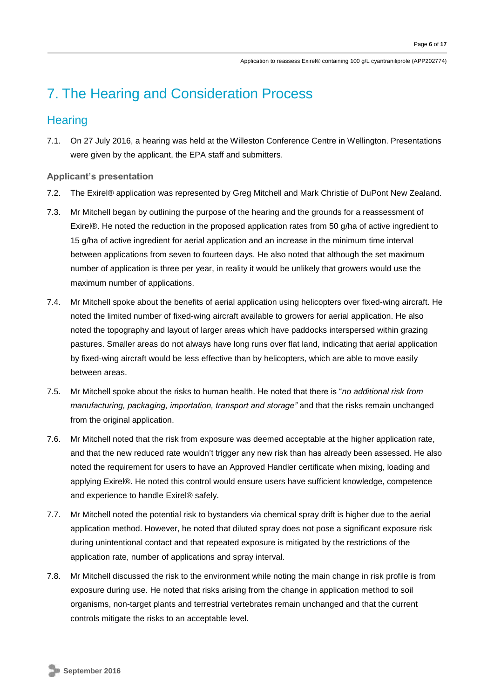# 7. The Hearing and Consideration Process

# **Hearing**

7.1. On 27 July 2016, a hearing was held at the Willeston Conference Centre in Wellington. Presentations were given by the applicant, the EPA staff and submitters.

## **Applicant's presentation**

- 7.2. The Exirel® application was represented by Greg Mitchell and Mark Christie of DuPont New Zealand.
- 7.3. Mr Mitchell began by outlining the purpose of the hearing and the grounds for a reassessment of Exirel®. He noted the reduction in the proposed application rates from 50 g/ha of active ingredient to 15 g/ha of active ingredient for aerial application and an increase in the minimum time interval between applications from seven to fourteen days. He also noted that although the set maximum number of application is three per year, in reality it would be unlikely that growers would use the maximum number of applications.
- 7.4. Mr Mitchell spoke about the benefits of aerial application using helicopters over fixed-wing aircraft. He noted the limited number of fixed-wing aircraft available to growers for aerial application. He also noted the topography and layout of larger areas which have paddocks interspersed within grazing pastures. Smaller areas do not always have long runs over flat land, indicating that aerial application by fixed-wing aircraft would be less effective than by helicopters, which are able to move easily between areas.
- 7.5. Mr Mitchell spoke about the risks to human health. He noted that there is "*no additional risk from manufacturing, packaging, importation, transport and storage"* and that the risks remain unchanged from the original application.
- 7.6. Mr Mitchell noted that the risk from exposure was deemed acceptable at the higher application rate, and that the new reduced rate wouldn't trigger any new risk than has already been assessed. He also noted the requirement for users to have an Approved Handler certificate when mixing, loading and applying Exirel®. He noted this control would ensure users have sufficient knowledge, competence and experience to handle Exirel® safely.
- 7.7. Mr Mitchell noted the potential risk to bystanders via chemical spray drift is higher due to the aerial application method. However, he noted that diluted spray does not pose a significant exposure risk during unintentional contact and that repeated exposure is mitigated by the restrictions of the application rate, number of applications and spray interval.
- 7.8. Mr Mitchell discussed the risk to the environment while noting the main change in risk profile is from exposure during use. He noted that risks arising from the change in application method to soil organisms, non-target plants and terrestrial vertebrates remain unchanged and that the current controls mitigate the risks to an acceptable level.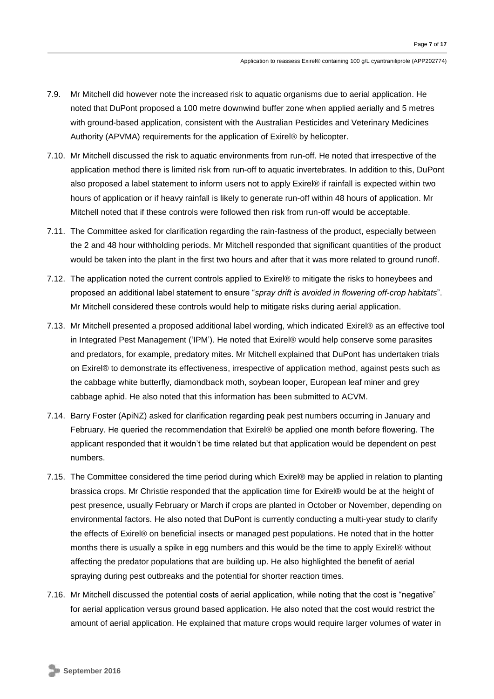- 7.9. Mr Mitchell did however note the increased risk to aquatic organisms due to aerial application. He noted that DuPont proposed a 100 metre downwind buffer zone when applied aerially and 5 metres with ground-based application, consistent with the Australian Pesticides and Veterinary Medicines Authority (APVMA) requirements for the application of Exirel® by helicopter.
- 7.10. Mr Mitchell discussed the risk to aquatic environments from run-off. He noted that irrespective of the application method there is limited risk from run-off to aquatic invertebrates. In addition to this, DuPont also proposed a label statement to inform users not to apply Exirel® if rainfall is expected within two hours of application or if heavy rainfall is likely to generate run-off within 48 hours of application. Mr Mitchell noted that if these controls were followed then risk from run-off would be acceptable.
- 7.11. The Committee asked for clarification regarding the rain-fastness of the product, especially between the 2 and 48 hour withholding periods. Mr Mitchell responded that significant quantities of the product would be taken into the plant in the first two hours and after that it was more related to ground runoff.
- 7.12. The application noted the current controls applied to Exirel® to mitigate the risks to honeybees and proposed an additional label statement to ensure "*spray drift is avoided in flowering off-crop habitats*". Mr Mitchell considered these controls would help to mitigate risks during aerial application.
- 7.13. Mr Mitchell presented a proposed additional label wording, which indicated Exirel® as an effective tool in Integrated Pest Management ('IPM'). He noted that Exirel® would help conserve some parasites and predators, for example, predatory mites. Mr Mitchell explained that DuPont has undertaken trials on Exirel® to demonstrate its effectiveness, irrespective of application method, against pests such as the cabbage white butterfly, diamondback moth, soybean looper, European leaf miner and grey cabbage aphid. He also noted that this information has been submitted to ACVM.
- 7.14. Barry Foster (ApiNZ) asked for clarification regarding peak pest numbers occurring in January and February. He queried the recommendation that Exirel® be applied one month before flowering. The applicant responded that it wouldn't be time related but that application would be dependent on pest numbers.
- 7.15. The Committee considered the time period during which Exirel® may be applied in relation to planting brassica crops. Mr Christie responded that the application time for Exirel® would be at the height of pest presence, usually February or March if crops are planted in October or November, depending on environmental factors. He also noted that DuPont is currently conducting a multi-year study to clarify the effects of Exirel® on beneficial insects or managed pest populations. He noted that in the hotter months there is usually a spike in egg numbers and this would be the time to apply Exirel® without affecting the predator populations that are building up. He also highlighted the benefit of aerial spraying during pest outbreaks and the potential for shorter reaction times.
- 7.16. Mr Mitchell discussed the potential costs of aerial application, while noting that the cost is "negative" for aerial application versus ground based application. He also noted that the cost would restrict the amount of aerial application. He explained that mature crops would require larger volumes of water in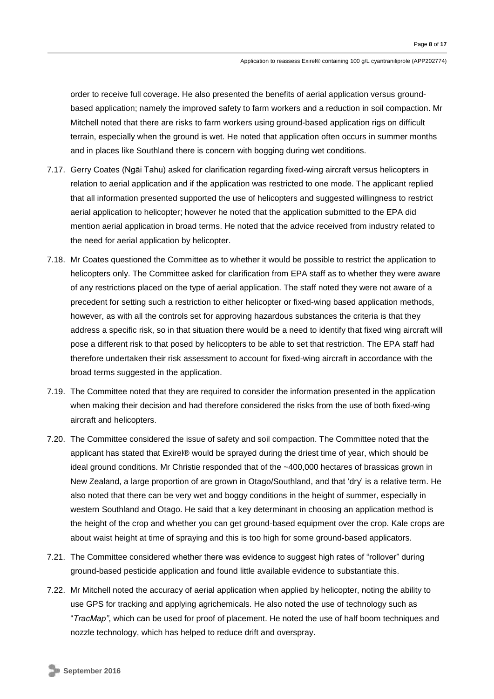order to receive full coverage. He also presented the benefits of aerial application versus groundbased application; namely the improved safety to farm workers and a reduction in soil compaction. Mr Mitchell noted that there are risks to farm workers using ground-based application rigs on difficult terrain, especially when the ground is wet. He noted that application often occurs in summer months and in places like Southland there is concern with bogging during wet conditions.

- 7.17. Gerry Coates (Ngāi Tahu) asked for clarification regarding fixed-wing aircraft versus helicopters in relation to aerial application and if the application was restricted to one mode. The applicant replied that all information presented supported the use of helicopters and suggested willingness to restrict aerial application to helicopter; however he noted that the application submitted to the EPA did mention aerial application in broad terms. He noted that the advice received from industry related to the need for aerial application by helicopter.
- 7.18. Mr Coates questioned the Committee as to whether it would be possible to restrict the application to helicopters only. The Committee asked for clarification from EPA staff as to whether they were aware of any restrictions placed on the type of aerial application. The staff noted they were not aware of a precedent for setting such a restriction to either helicopter or fixed-wing based application methods, however, as with all the controls set for approving hazardous substances the criteria is that they address a specific risk, so in that situation there would be a need to identify that fixed wing aircraft will pose a different risk to that posed by helicopters to be able to set that restriction. The EPA staff had therefore undertaken their risk assessment to account for fixed-wing aircraft in accordance with the broad terms suggested in the application.
- 7.19. The Committee noted that they are required to consider the information presented in the application when making their decision and had therefore considered the risks from the use of both fixed-wing aircraft and helicopters.
- 7.20. The Committee considered the issue of safety and soil compaction. The Committee noted that the applicant has stated that Exirel® would be sprayed during the driest time of year, which should be ideal ground conditions. Mr Christie responded that of the ~400,000 hectares of brassicas grown in New Zealand, a large proportion of are grown in Otago/Southland, and that 'dry' is a relative term. He also noted that there can be very wet and boggy conditions in the height of summer, especially in western Southland and Otago. He said that a key determinant in choosing an application method is the height of the crop and whether you can get ground-based equipment over the crop. Kale crops are about waist height at time of spraying and this is too high for some ground-based applicators.
- 7.21. The Committee considered whether there was evidence to suggest high rates of "rollover" during ground-based pesticide application and found little available evidence to substantiate this.
- 7.22. Mr Mitchell noted the accuracy of aerial application when applied by helicopter, noting the ability to use GPS for tracking and applying agrichemicals. He also noted the use of technology such as "*TracMap"*, which can be used for proof of placement. He noted the use of half boom techniques and nozzle technology, which has helped to reduce drift and overspray.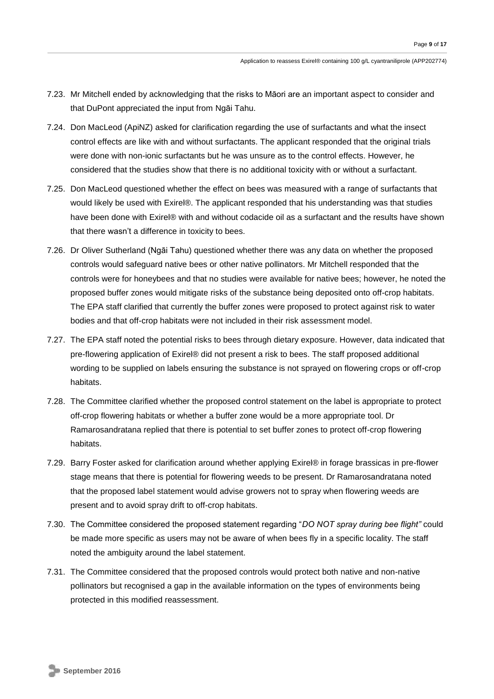- 7.23. Mr Mitchell ended by acknowledging that the risks to Māori are an important aspect to consider and that DuPont appreciated the input from Ngāi Tahu.
- 7.24. Don MacLeod (ApiNZ) asked for clarification regarding the use of surfactants and what the insect control effects are like with and without surfactants. The applicant responded that the original trials were done with non-ionic surfactants but he was unsure as to the control effects. However, he considered that the studies show that there is no additional toxicity with or without a surfactant.
- 7.25. Don MacLeod questioned whether the effect on bees was measured with a range of surfactants that would likely be used with Exirel®. The applicant responded that his understanding was that studies have been done with Exirel® with and without codacide oil as a surfactant and the results have shown that there wasn't a difference in toxicity to bees.
- 7.26. Dr Oliver Sutherland (Ngāi Tahu) questioned whether there was any data on whether the proposed controls would safeguard native bees or other native pollinators. Mr Mitchell responded that the controls were for honeybees and that no studies were available for native bees; however, he noted the proposed buffer zones would mitigate risks of the substance being deposited onto off-crop habitats. The EPA staff clarified that currently the buffer zones were proposed to protect against risk to water bodies and that off-crop habitats were not included in their risk assessment model.
- 7.27. The EPA staff noted the potential risks to bees through dietary exposure. However, data indicated that pre-flowering application of Exirel® did not present a risk to bees. The staff proposed additional wording to be supplied on labels ensuring the substance is not sprayed on flowering crops or off-crop habitats.
- 7.28. The Committee clarified whether the proposed control statement on the label is appropriate to protect off-crop flowering habitats or whether a buffer zone would be a more appropriate tool. Dr Ramarosandratana replied that there is potential to set buffer zones to protect off-crop flowering habitats.
- 7.29. Barry Foster asked for clarification around whether applying Exirel® in forage brassicas in pre-flower stage means that there is potential for flowering weeds to be present. Dr Ramarosandratana noted that the proposed label statement would advise growers not to spray when flowering weeds are present and to avoid spray drift to off-crop habitats.
- 7.30. The Committee considered the proposed statement regarding "*DO NOT spray during bee flight"* could be made more specific as users may not be aware of when bees fly in a specific locality. The staff noted the ambiguity around the label statement.
- 7.31. The Committee considered that the proposed controls would protect both native and non-native pollinators but recognised a gap in the available information on the types of environments being protected in this modified reassessment.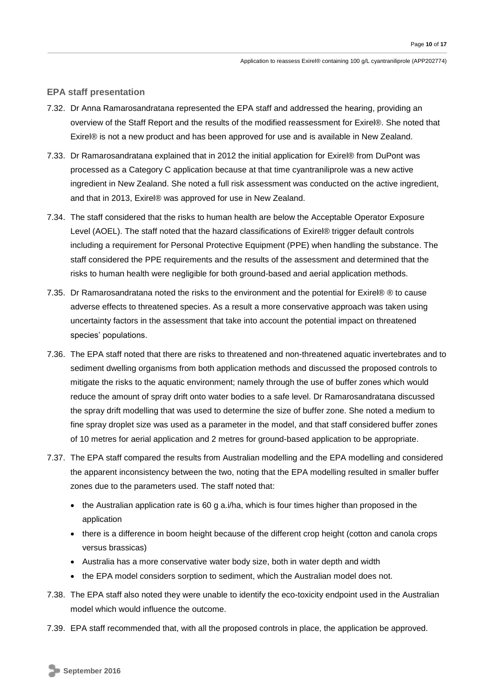#### **EPA staff presentation**

- 7.32. Dr Anna Ramarosandratana represented the EPA staff and addressed the hearing, providing an overview of the Staff Report and the results of the modified reassessment for Exirel®. She noted that Exirel® is not a new product and has been approved for use and is available in New Zealand.
- 7.33. Dr Ramarosandratana explained that in 2012 the initial application for Exirel® from DuPont was processed as a Category C application because at that time cyantraniliprole was a new active ingredient in New Zealand. She noted a full risk assessment was conducted on the active ingredient, and that in 2013, Exirel® was approved for use in New Zealand.
- 7.34. The staff considered that the risks to human health are below the Acceptable Operator Exposure Level (AOEL). The staff noted that the hazard classifications of Exirel® trigger default controls including a requirement for Personal Protective Equipment (PPE) when handling the substance. The staff considered the PPE requirements and the results of the assessment and determined that the risks to human health were negligible for both ground-based and aerial application methods.
- 7.35. Dr Ramarosandratana noted the risks to the environment and the potential for Exirel® ® to cause adverse effects to threatened species. As a result a more conservative approach was taken using uncertainty factors in the assessment that take into account the potential impact on threatened species' populations.
- 7.36. The EPA staff noted that there are risks to threatened and non-threatened aquatic invertebrates and to sediment dwelling organisms from both application methods and discussed the proposed controls to mitigate the risks to the aquatic environment; namely through the use of buffer zones which would reduce the amount of spray drift onto water bodies to a safe level. Dr Ramarosandratana discussed the spray drift modelling that was used to determine the size of buffer zone. She noted a medium to fine spray droplet size was used as a parameter in the model, and that staff considered buffer zones of 10 metres for aerial application and 2 metres for ground-based application to be appropriate.
- 7.37. The EPA staff compared the results from Australian modelling and the EPA modelling and considered the apparent inconsistency between the two, noting that the EPA modelling resulted in smaller buffer zones due to the parameters used. The staff noted that:
	- $\bullet$  the Australian application rate is 60 g a.i/ha, which is four times higher than proposed in the application
	- there is a difference in boom height because of the different crop height (cotton and canola crops versus brassicas)
	- Australia has a more conservative water body size, both in water depth and width
	- the EPA model considers sorption to sediment, which the Australian model does not.
- 7.38. The EPA staff also noted they were unable to identify the eco-toxicity endpoint used in the Australian model which would influence the outcome.
- 7.39. EPA staff recommended that, with all the proposed controls in place, the application be approved.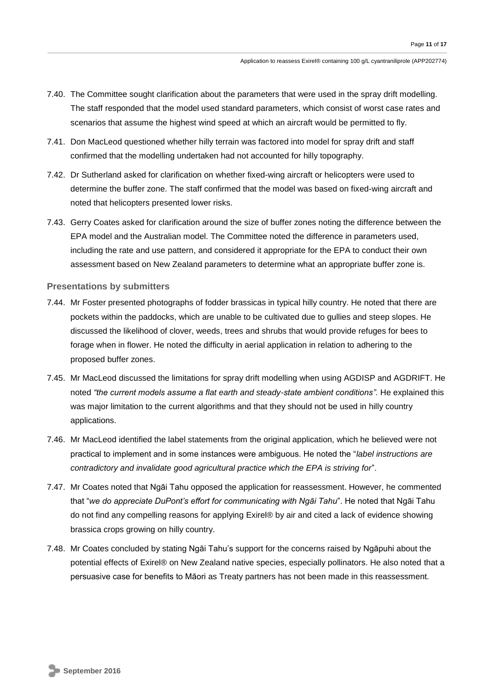- 7.40. The Committee sought clarification about the parameters that were used in the spray drift modelling. The staff responded that the model used standard parameters, which consist of worst case rates and scenarios that assume the highest wind speed at which an aircraft would be permitted to fly.
- 7.41. Don MacLeod questioned whether hilly terrain was factored into model for spray drift and staff confirmed that the modelling undertaken had not accounted for hilly topography.
- 7.42. Dr Sutherland asked for clarification on whether fixed-wing aircraft or helicopters were used to determine the buffer zone. The staff confirmed that the model was based on fixed-wing aircraft and noted that helicopters presented lower risks.
- 7.43. Gerry Coates asked for clarification around the size of buffer zones noting the difference between the EPA model and the Australian model. The Committee noted the difference in parameters used, including the rate and use pattern, and considered it appropriate for the EPA to conduct their own assessment based on New Zealand parameters to determine what an appropriate buffer zone is.

## **Presentations by submitters**

- 7.44. Mr Foster presented photographs of fodder brassicas in typical hilly country. He noted that there are pockets within the paddocks, which are unable to be cultivated due to gullies and steep slopes. He discussed the likelihood of clover, weeds, trees and shrubs that would provide refuges for bees to forage when in flower. He noted the difficulty in aerial application in relation to adhering to the proposed buffer zones.
- 7.45. Mr MacLeod discussed the limitations for spray drift modelling when using AGDISP and AGDRIFT. He noted *"the current models assume a flat earth and steady-state ambient conditions".* He explained this was major limitation to the current algorithms and that they should not be used in hilly country applications.
- 7.46. Mr MacLeod identified the label statements from the original application, which he believed were not practical to implement and in some instances were ambiguous. He noted the "*label instructions are contradictory and invalidate good agricultural practice which the EPA is striving for*".
- 7.47. Mr Coates noted that Ngāi Tahu opposed the application for reassessment. However, he commented that "*we do appreciate DuPont's effort for communicating with Ngāi Tahu*". He noted that Ngāi Tahu do not find any compelling reasons for applying Exirel® by air and cited a lack of evidence showing brassica crops growing on hilly country.
- 7.48. Mr Coates concluded by stating Ngāi Tahu's support for the concerns raised by Ngāpuhi about the potential effects of Exirel® on New Zealand native species, especially pollinators. He also noted that a persuasive case for benefits to Māori as Treaty partners has not been made in this reassessment.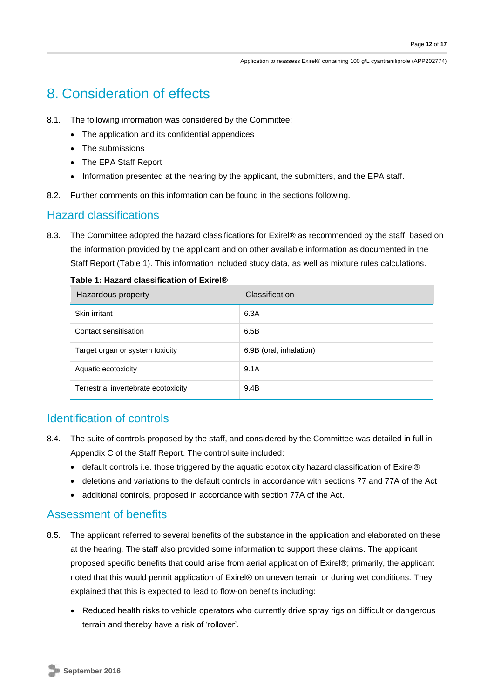Application to reassess Exirel® containing 100 g/L cyantraniliprole (APP202774)

# 8. Consideration of effects

- 8.1. The following information was considered by the Committee:
	- The application and its confidential appendices
	- The submissions
	- The EPA Staff Report
	- Information presented at the hearing by the applicant, the submitters, and the EPA staff.
- 8.2. Further comments on this information can be found in the sections following.

# Hazard classifications

8.3. The Committee adopted the hazard classifications for Exirel® as recommended by the staff, based on the information provided by the applicant and on other available information as documented in the Staff Report (Table 1). This information included study data, as well as mixture rules calculations.

| Hazardous property                   | Classification          |
|--------------------------------------|-------------------------|
| Skin irritant                        | 6.3A                    |
| Contact sensitisation                | 6.5B                    |
| Target organ or system toxicity      | 6.9B (oral, inhalation) |
| Aquatic ecotoxicity                  | 9.1A                    |
| Terrestrial invertebrate ecotoxicity | 9.4B                    |

#### **Table 1: Hazard classification of Exirel®**

## Identification of controls

- 8.4. The suite of controls proposed by the staff, and considered by the Committee was detailed in full in Appendix C of the Staff Report. The control suite included:
	- default controls i.e. those triggered by the aquatic ecotoxicity hazard classification of Exirel®
	- deletions and variations to the default controls in accordance with sections 77 and 77A of the Act
	- additional controls, proposed in accordance with section 77A of the Act.

## Assessment of benefits

- 8.5. The applicant referred to several benefits of the substance in the application and elaborated on these at the hearing. The staff also provided some information to support these claims. The applicant proposed specific benefits that could arise from aerial application of Exirel®; primarily, the applicant noted that this would permit application of Exirel® on uneven terrain or during wet conditions. They explained that this is expected to lead to flow-on benefits including:
	- Reduced health risks to vehicle operators who currently drive spray rigs on difficult or dangerous terrain and thereby have a risk of 'rollover'.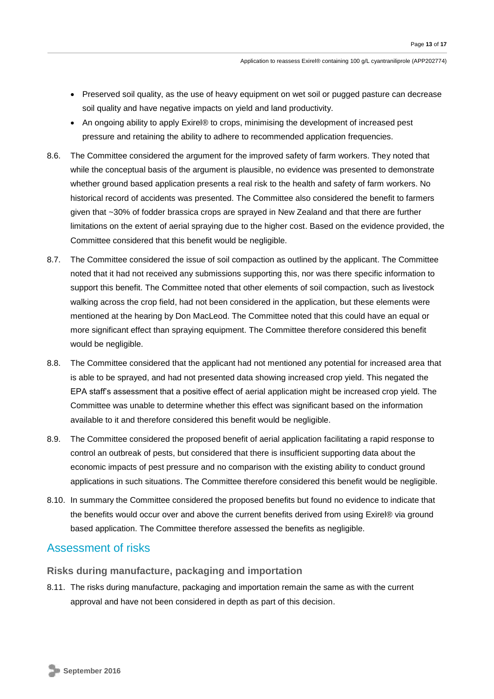- Preserved soil quality, as the use of heavy equipment on wet soil or pugged pasture can decrease soil quality and have negative impacts on yield and land productivity.
- An ongoing ability to apply Exirel® to crops, minimising the development of increased pest pressure and retaining the ability to adhere to recommended application frequencies.
- 8.6. The Committee considered the argument for the improved safety of farm workers. They noted that while the conceptual basis of the argument is plausible, no evidence was presented to demonstrate whether ground based application presents a real risk to the health and safety of farm workers. No historical record of accidents was presented. The Committee also considered the benefit to farmers given that ~30% of fodder brassica crops are sprayed in New Zealand and that there are further limitations on the extent of aerial spraying due to the higher cost. Based on the evidence provided, the Committee considered that this benefit would be negligible.
- 8.7. The Committee considered the issue of soil compaction as outlined by the applicant. The Committee noted that it had not received any submissions supporting this, nor was there specific information to support this benefit. The Committee noted that other elements of soil compaction, such as livestock walking across the crop field, had not been considered in the application, but these elements were mentioned at the hearing by Don MacLeod. The Committee noted that this could have an equal or more significant effect than spraying equipment. The Committee therefore considered this benefit would be negligible.
- 8.8. The Committee considered that the applicant had not mentioned any potential for increased area that is able to be sprayed, and had not presented data showing increased crop yield. This negated the EPA staff's assessment that a positive effect of aerial application might be increased crop yield. The Committee was unable to determine whether this effect was significant based on the information available to it and therefore considered this benefit would be negligible.
- 8.9. The Committee considered the proposed benefit of aerial application facilitating a rapid response to control an outbreak of pests, but considered that there is insufficient supporting data about the economic impacts of pest pressure and no comparison with the existing ability to conduct ground applications in such situations. The Committee therefore considered this benefit would be negligible.
- 8.10. In summary the Committee considered the proposed benefits but found no evidence to indicate that the benefits would occur over and above the current benefits derived from using Exirel® via ground based application. The Committee therefore assessed the benefits as negligible.

## Assessment of risks

## **Risks during manufacture, packaging and importation**

8.11. The risks during manufacture, packaging and importation remain the same as with the current approval and have not been considered in depth as part of this decision.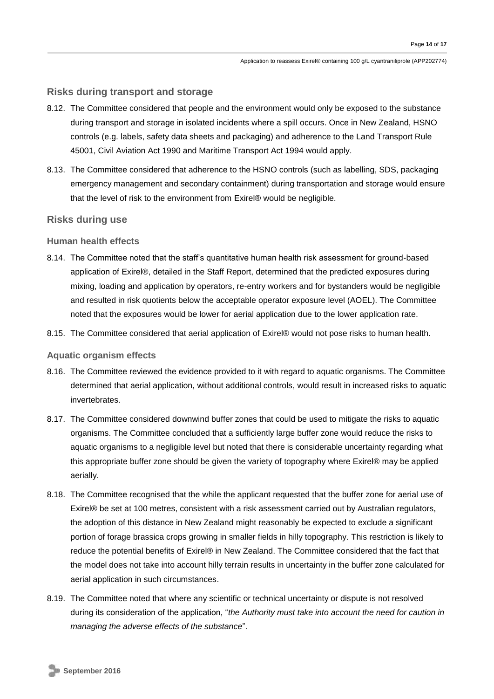## **Risks during transport and storage**

- 8.12. The Committee considered that people and the environment would only be exposed to the substance during transport and storage in isolated incidents where a spill occurs. Once in New Zealand, HSNO controls (e.g. labels, safety data sheets and packaging) and adherence to the Land Transport Rule 45001, Civil Aviation Act 1990 and Maritime Transport Act 1994 would apply.
- 8.13. The Committee considered that adherence to the HSNO controls (such as labelling, SDS, packaging emergency management and secondary containment) during transportation and storage would ensure that the level of risk to the environment from Exirel® would be negligible.

## **Risks during use**

## **Human health effects**

- 8.14. The Committee noted that the staff's quantitative human health risk assessment for ground-based application of Exirel®, detailed in the Staff Report, determined that the predicted exposures during mixing, loading and application by operators, re-entry workers and for bystanders would be negligible and resulted in risk quotients below the acceptable operator exposure level (AOEL). The Committee noted that the exposures would be lower for aerial application due to the lower application rate.
- 8.15. The Committee considered that aerial application of Exirel® would not pose risks to human health.

#### **Aquatic organism effects**

- 8.16. The Committee reviewed the evidence provided to it with regard to aquatic organisms. The Committee determined that aerial application, without additional controls, would result in increased risks to aquatic invertebrates.
- 8.17. The Committee considered downwind buffer zones that could be used to mitigate the risks to aquatic organisms. The Committee concluded that a sufficiently large buffer zone would reduce the risks to aquatic organisms to a negligible level but noted that there is considerable uncertainty regarding what this appropriate buffer zone should be given the variety of topography where Exirel® may be applied aerially.
- 8.18. The Committee recognised that the while the applicant requested that the buffer zone for aerial use of Exirel® be set at 100 metres, consistent with a risk assessment carried out by Australian regulators, the adoption of this distance in New Zealand might reasonably be expected to exclude a significant portion of forage brassica crops growing in smaller fields in hilly topography. This restriction is likely to reduce the potential benefits of Exirel® in New Zealand. The Committee considered that the fact that the model does not take into account hilly terrain results in uncertainty in the buffer zone calculated for aerial application in such circumstances.
- 8.19. The Committee noted that where any scientific or technical uncertainty or dispute is not resolved during its consideration of the application, "*the Authority must take into account the need for caution in managing the adverse effects of the substance*".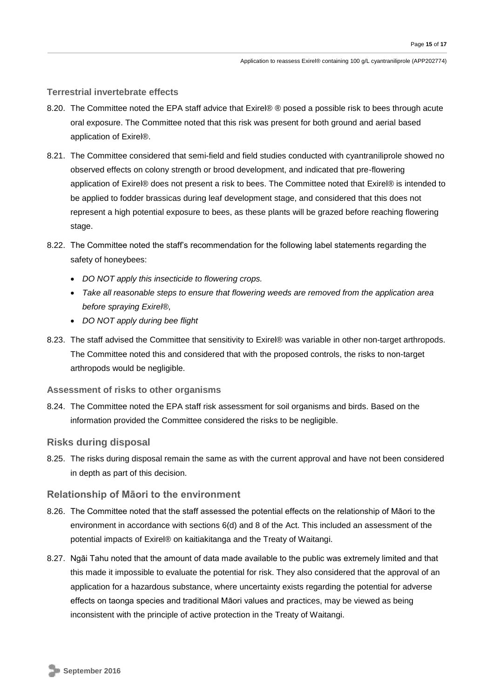## **Terrestrial invertebrate effects**

- 8.20. The Committee noted the EPA staff advice that Exire ® posed a possible risk to bees through acute oral exposure. The Committee noted that this risk was present for both ground and aerial based application of Exirel®.
- 8.21. The Committee considered that semi-field and field studies conducted with cyantraniliprole showed no observed effects on colony strength or brood development, and indicated that pre-flowering application of Exirel® does not present a risk to bees. The Committee noted that Exirel® is intended to be applied to fodder brassicas during leaf development stage, and considered that this does not represent a high potential exposure to bees, as these plants will be grazed before reaching flowering stage.
- 8.22. The Committee noted the staff's recommendation for the following label statements regarding the safety of honeybees:
	- *DO NOT apply this insecticide to flowering crops.*
	- *Take all reasonable steps to ensure that flowering weeds are removed from the application area before spraying Exirel®,*
	- *DO NOT apply during bee flight*
- 8.23. The staff advised the Committee that sensitivity to Exirel® was variable in other non-target arthropods. The Committee noted this and considered that with the proposed controls, the risks to non-target arthropods would be negligible.

## **Assessment of risks to other organisms**

8.24. The Committee noted the EPA staff risk assessment for soil organisms and birds. Based on the information provided the Committee considered the risks to be negligible.

## **Risks during disposal**

8.25. The risks during disposal remain the same as with the current approval and have not been considered in depth as part of this decision.

## **Relationship of Māori to the environment**

- 8.26. The Committee noted that the staff assessed the potential effects on the relationship of Māori to the environment in accordance with sections 6(d) and 8 of the Act. This included an assessment of the potential impacts of Exirel® on kaitiakitanga and the Treaty of Waitangi.
- 8.27. Ngāi Tahu noted that the amount of data made available to the public was extremely limited and that this made it impossible to evaluate the potential for risk. They also considered that the approval of an application for a hazardous substance, where uncertainty exists regarding the potential for adverse effects on taonga species and traditional Māori values and practices, may be viewed as being inconsistent with the principle of active protection in the Treaty of Waitangi.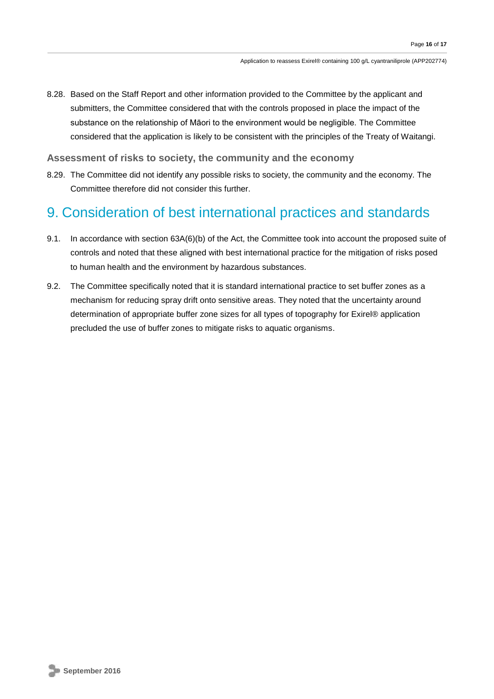8.28. Based on the Staff Report and other information provided to the Committee by the applicant and submitters, the Committee considered that with the controls proposed in place the impact of the substance on the relationship of Māori to the environment would be negligible. The Committee considered that the application is likely to be consistent with the principles of the Treaty of Waitangi.

## **Assessment of risks to society, the community and the economy**

8.29. The Committee did not identify any possible risks to society, the community and the economy. The Committee therefore did not consider this further.

# 9. Consideration of best international practices and standards

- 9.1. In accordance with section 63A(6)(b) of the Act, the Committee took into account the proposed suite of controls and noted that these aligned with best international practice for the mitigation of risks posed to human health and the environment by hazardous substances.
- 9.2. The Committee specifically noted that it is standard international practice to set buffer zones as a mechanism for reducing spray drift onto sensitive areas. They noted that the uncertainty around determination of appropriate buffer zone sizes for all types of topography for Exirel® application precluded the use of buffer zones to mitigate risks to aquatic organisms.